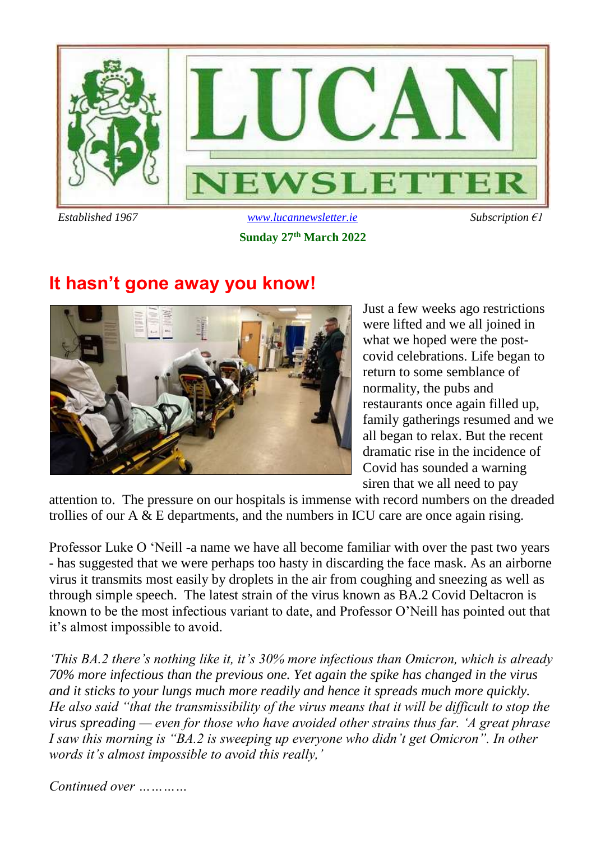

**Sunday 27 th March 2022**

## **It hasn't gone away you know!**



Just a few weeks ago restrictions were lifted and we all joined in what we hoped were the postcovid celebrations. Life began to return to some semblance of normality, the pubs and restaurants once again filled up, family gatherings resumed and we all began to relax. But the recent dramatic rise in the incidence of Covid has sounded a warning siren that we all need to pay

attention to. The pressure on our hospitals is immense with record numbers on the dreaded trollies of our A & E departments, and the numbers in ICU care are once again rising.

Professor Luke O 'Neill -a name we have all become familiar with over the past two years - has suggested that we were perhaps too hasty in discarding the face mask. As an airborne virus it transmits most easily by droplets in the air from coughing and sneezing as well as through simple speech. The latest strain of the virus known as BA.2 Covid Deltacron is known to be the most infectious variant to date, and Professor O'Neill has pointed out that it's almost impossible to avoid.

*'This BA.2 there's nothing like it, it's 30% more infectious than Omicron, which is already 70% more infectious than the previous one. Yet again the spike has changed in the virus and it sticks to your lungs much more readily and hence it spreads much more quickly. He also said "that the transmissibility of the virus means that it will be difficult to stop the virus spreading — even for those who have avoided other strains thus far. 'A great phrase I saw this morning is "BA.2 is sweeping up everyone who didn't get Omicron". In other words it's almost impossible to avoid this really,'* 

*Continued over …………*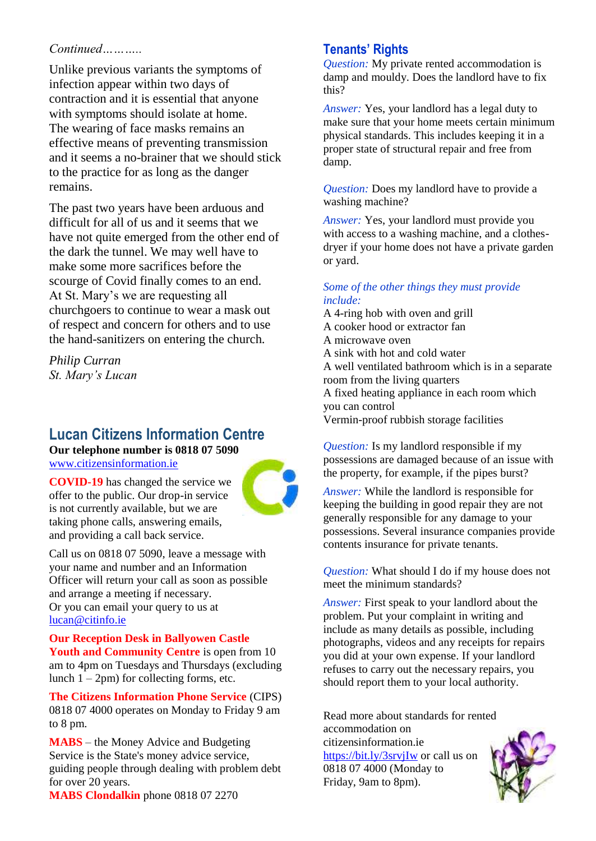### *Continued………..*

Unlike previous variants the symptoms of infection appear within two days of contraction and it is essential that anyone with symptoms should isolate at home. The wearing of face masks remains an effective means of preventing transmission and it seems a no-brainer that we should stick to the practice for as long as the danger remains.

The past two years have been arduous and difficult for all of us and it seems that we have not quite emerged from the other end of the dark the tunnel. We may well have to make some more sacrifices before the scourge of Covid finally comes to an end. At St. Mary's we are requesting all churchgoers to continue to wear a mask out of respect and concern for others and to use the hand-sanitizers on entering the church.

*Philip Curran St. Mary's Lucan*

### **Lucan Citizens Information Centre**

**Our telephone number is 0818 07 5090**

[www.citizensinformation.ie](http://www.citizensinformation.ie/)

**COVID-19** has changed the service we offer to the public. Our drop-in service is not currently available, but we are taking phone calls, answering emails, and providing a call back service.



Call us on 0818 07 5090, leave a message with your name and number and an Information Officer will return your call as soon as possible and arrange a meeting if necessary. Or you can email your query to us at [lucan@citinfo.ie](mailto:lucan@citinfo.ie)

**Our Reception Desk in Ballyowen Castle Youth and Community Centre** is open from 10 am to 4pm on Tuesdays and Thursdays (excluding lunch  $1 - 2pm$ ) for collecting forms, etc.

**The Citizens Information Phone Service** (CIPS) 0818 07 4000 operates on Monday to Friday 9 am to 8 pm.

**MABS** – the Money Advice and Budgeting Service is the State's money advice service, guiding people through dealing with problem debt for over 20 years.

**MABS Clondalkin** phone 0818 07 2270

### **Tenants' Rights**

*Question:* My private rented accommodation is damp and mouldy. Does the landlord have to fix this?

*Answer:* Yes, your landlord has a legal duty to make sure that your home meets certain minimum physical standards. This includes keeping it in a proper state of structural repair and free from damp.

*Question:* Does my landlord have to provide a washing machine?

*Answer:* Yes, your landlord must provide you with access to a washing machine, and a clothesdryer if your home does not have a private garden or yard.

### *Some of the other things they must provide include:*

A 4-ring hob with oven and grill A cooker hood or extractor fan A microwave oven A sink with hot and cold water A well ventilated bathroom which is in a separate room from the living quarters A fixed heating appliance in each room which you can control Vermin-proof rubbish storage facilities

*Question:* Is my landlord responsible if my possessions are damaged because of an issue with the property, for example, if the pipes burst?

*Answer:* While the landlord is responsible for keeping the building in good repair they are not generally responsible for any damage to your possessions. Several insurance companies provide contents insurance for private tenants.

*Question:* What should I do if my house does not meet the minimum standards?

*Answer:* First speak to your landlord about the problem. Put your complaint in writing and include as many details as possible, including photographs, videos and any receipts for repairs you did at your own expense. If your landlord refuses to carry out the necessary repairs, you should report them to your local authority.

Read more about standards for rented accommodation on citizensinformation.ie <https://bit.ly/3srvjIw> or call us on 0818 07 4000 (Monday to Friday, 9am to 8pm).

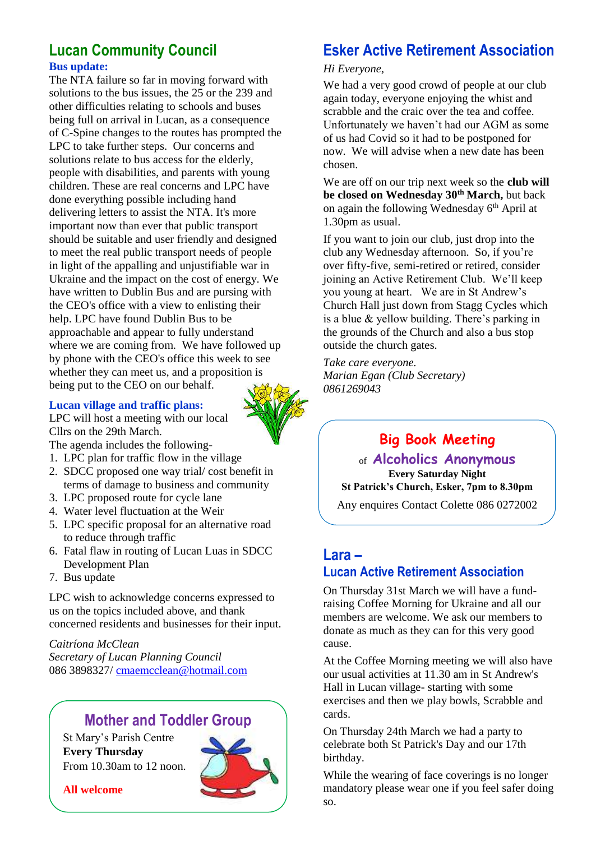### **Lucan Community Council Bus update:**

The NTA failure so far in moving forward with solutions to the bus issues, the 25 or the 239 and other difficulties relating to schools and buses being full on arrival in Lucan, as a consequence of C-Spine changes to the routes has prompted the LPC to take further steps. Our concerns and solutions relate to bus access for the elderly, people with disabilities, and parents with young children. These are real concerns and LPC have done everything possible including hand delivering letters to assist the NTA. It's more important now than ever that public transport should be suitable and user friendly and designed to meet the real public transport needs of people in light of the appalling and unjustifiable war in Ukraine and the impact on the cost of energy. We have written to Dublin Bus and are pursing with the CEO's office with a view to enlisting their help. LPC have found Dublin Bus to be approachable and appear to fully understand where we are coming from. We have followed up by phone with the CEO's office this week to see whether they can meet us, and a proposition is being put to the CEO on our behalf.

#### **Lucan village and traffic plans:**

LPC will host a meeting with our local Cllrs on the 29th March.

The agenda includes the following-

- 1. LPC plan for traffic flow in the village
- 2. SDCC proposed one way trial/ cost benefit in terms of damage to business and community
- 3. LPC proposed route for cycle lane
- 4. Water level fluctuation at the Weir
- 5. LPC specific proposal for an alternative road to reduce through traffic
- 6. Fatal flaw in routing of Lucan Luas in SDCC Development Plan
- 7. Bus update

LPC wish to acknowledge concerns expressed to us on the topics included above, and thank concerned residents and businesses for their input.

*Caitríona McClean Secretary of Lucan Planning Council* 086 3898327/ [cmaemcclean@hotmail.com](mailto:cmaemcclean@hotmail.com)

### **Mother and Toddler Group**

St Mary's Parish Centre **Every Thursday**  From 10.30am to 12 noon.

**All welcome**

## **Esker Active Retirement Association**

#### *Hi Everyone,*

We had a very good crowd of people at our club again today, everyone enjoying the whist and scrabble and the craic over the tea and coffee. Unfortunately we haven't had our AGM as some of us had Covid so it had to be postponed for now. We will advise when a new date has been chosen.

We are off on our trip next week so the **club will be closed on Wednesday 30th March,** but back on again the following Wednesday  $6<sup>th</sup>$  April at 1.30pm as usual.

If you want to join our club, just drop into the club any Wednesday afternoon. So, if you're over fifty-five, semi-retired or retired, consider joining an Active Retirement Club. We'll keep you young at heart. We are in St Andrew's Church Hall just down from Stagg Cycles which is a blue & yellow building. There's parking in the grounds of the Church and also a bus stop outside the church gates.

*Take care everyone. Marian Egan (Club Secretary) 0861269043*

## **Big Book Meeting**

of **Alcoholics Anonymous Every Saturday Night St Patrick's Church, Esker, 7pm to 8.30pm**

Any enquires Contact Colette 086 0272002

## **Lara –**

### **Lucan Active Retirement Association**

On Thursday 31st March we will have a fundraising Coffee Morning for Ukraine and all our members are welcome. We ask our members to donate as much as they can for this very good cause.

At the Coffee Morning meeting we will also have our usual activities at 11.30 am in St Andrew's Hall in Lucan village- starting with some exercises and then we play bowls, Scrabble and cards.

On Thursday 24th March we had a party to celebrate both St Patrick's Day and our 17th birthday.

While the wearing of face coverings is no longer mandatory please wear one if you feel safer doing so.

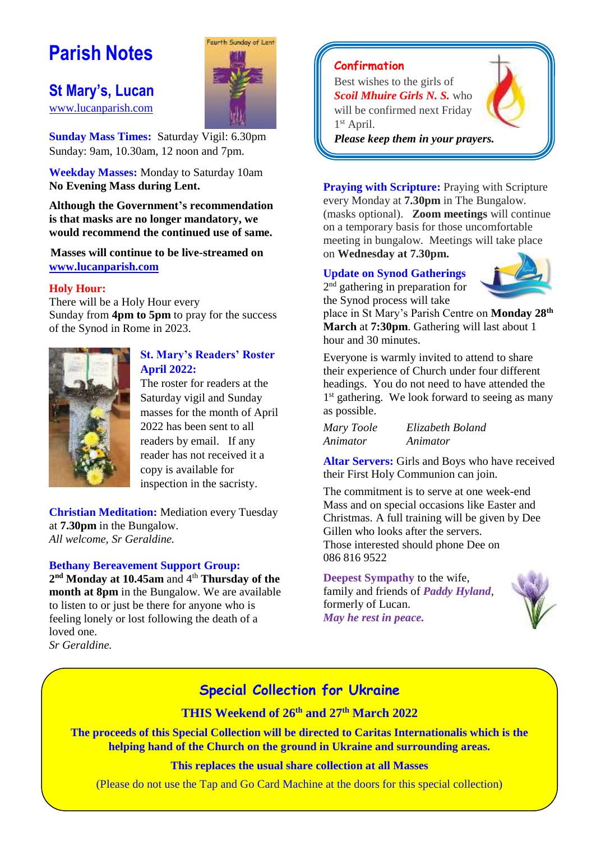## **Parish Notes**

### **St Mary's, Lucan**

[www.lucanparish.com](http://www.lucanparish.com/)

**Sunday Mass Times:** Saturday Vigil: 6.30pm Sunday: 9am, 10.30am, 12 noon and 7pm.

Fourth Sunday of Lent

**Weekday Masses:** Monday to Saturday 10am **No Evening Mass during Lent.**

**Although the Government's recommendation is that masks are no longer mandatory, we would recommend the continued use of same.**

**Masses will continue to be live-streamed on [www.lucanparish.com](http://www.lucanparish.com/)**

#### **Holy Hour:**

There will be a Holy Hour every Sunday from **4pm to 5pm** to pray for the success of the Synod in Rome in 2023.



#### **St. Mary's Readers' Roster April 2022:**

The roster for readers at the Saturday vigil and Sunday masses for the month of April 2022 has been sent to all readers by email. If any reader has not received it a copy is available for inspection in the sacristy.

**Christian Meditation:** Mediation every Tuesday at **7.30pm** in the Bungalow. *All welcome, Sr Geraldine.*

#### **Bethany Bereavement Support Group:**

**2 nd Monday at 10.45am** and 4 th **Thursday of the month at 8pm** in the Bungalow. We are available to listen to or just be there for anyone who is feeling lonely or lost following the death of a loved one. *Sr Geraldine.* 

**Confirmation**

Best wishes to the girls of *Scoil Mhuire Girls N. S.* who will be confirmed next Friday 1 st April.



*Please keep them in your prayers.*

**Praying with Scripture:** Praying with Scripture every Monday at **7.30pm** in The Bungalow. (masks optional). **Zoom meetings** will continue on a temporary basis for those uncomfortable meeting in bungalow. Meetings will take place on **Wednesday at 7.30pm.**

### **Update on Synod Gatherings**

2<sup>nd</sup> gathering in preparation for the Synod process will take



place in St Mary's Parish Centre on **Monday 28th March** at **7:30pm**. Gathering will last about 1 hour and 30 minutes.

Everyone is warmly invited to attend to share their experience of Church under four different headings. You do not need to have attended the 1<sup>st</sup> gathering. We look forward to seeing as many as possible.

| Mary Toole | Elizabeth Boland |
|------------|------------------|
| Animator   | Animator         |

**Altar Servers:** Girls and Boys who have received their First Holy Communion can join.

The commitment is to serve at one week-end Mass and on special occasions like Easter and Christmas. A full training will be given by Dee Gillen who looks after the servers. Those interested should phone Dee on 086 816 9522

**Deepest Sympathy** to the wife, family and friends of *Paddy Hyland*, formerly of Lucan. *May he rest in peace.* 



### **Special Collection for Ukraine**

**THIS Weekend of 26 th and 27th March 2022**

**The proceeds of this Special Collection will be directed to Caritas Internationalis which is the helping hand of the Church on the ground in Ukraine and surrounding areas.**

**This replaces the usual share collection at all Masses**

(Please do not use the Tap and Go Card Machine at the doors for this special collection)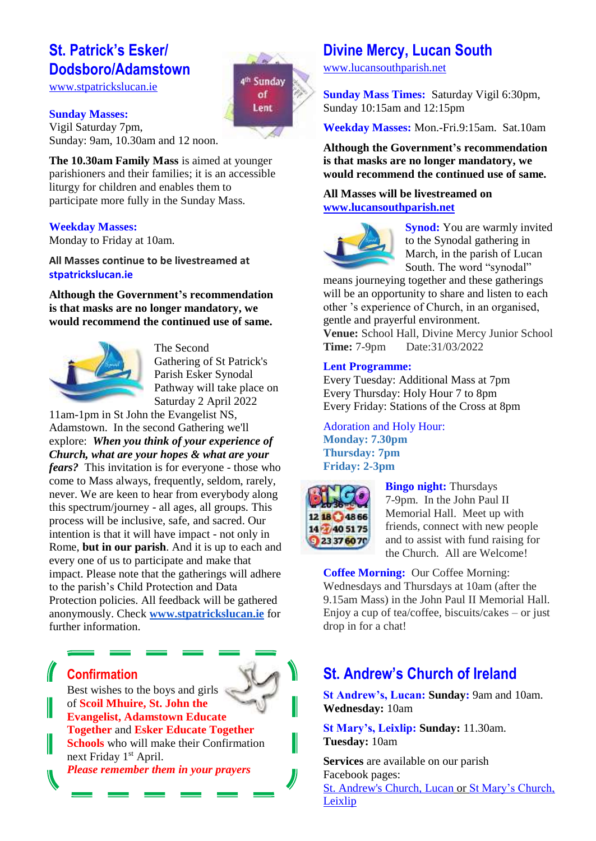### **St. Patrick's Esker/ Dodsboro/Adamstown**

[www.stpatrickslucan.ie](http://www.stpatrickslucan.ie/)

# 4<sup>th</sup> Sunday of Lent

**Sunday Masses:** Vigil Saturday 7pm, Sunday: 9am, 10.30am and 12 noon.

**The 10.30am Family Mass** is aimed at younger parishioners and their families; it is an accessible liturgy for children and enables them to participate more fully in the Sunday Mass.

#### **Weekday Masses:**

Monday to Friday at 10am.

**All Masses continue to be livestreamed at stpatrickslucan.ie**

**Although the Government's recommendation is that masks are no longer mandatory, we would recommend the continued use of same.**



The Second Gathering of St Patrick's Parish Esker Synodal Pathway will take place on Saturday 2 April 2022

11am-1pm in St John the Evangelist NS, Adamstown. In the second Gathering we'll explore: *When you think of your experience of Church, what are your hopes & what are your fears?* This invitation is for everyone - those who come to Mass always, frequently, seldom, rarely, never. We are keen to hear from everybody along this spectrum/journey - all ages, all groups. This process will be inclusive, safe, and sacred. Our intention is that it will have impact - not only in Rome, **but in our parish**. And it is up to each and every one of us to participate and make that impact. Please note that the gatherings will adhere to the parish's Child Protection and Data Protection policies. All feedback will be gathered anonymously. Check **[www.stpatrickslucan.ie](http://www.stpatrickslucan.ie/)** for further information.

## **Confirmation**

Best wishes to the boys and girls of **Scoil Mhuire, St. John the Evangelist, Adamstown Educate Together** and **Esker Educate Together Schools** who will make their Confirmation next Friday 1<sup>st</sup> April.

*Please remember them in your prayers*

### **Divine Mercy, Lucan South**

[www.lucansouthparish.net](http://www.lucansouthparish.net/)

**Sunday Mass Times:** Saturday Vigil 6:30pm, Sunday 10:15am and 12:15pm

**Weekday Masses:** Mon.-Fri.9:15am. Sat.10am

**Although the Government's recommendation is that masks are no longer mandatory, we would recommend the continued use of same.**

#### **All Masses will be livestreamed on [www.lucansouthparish.net](http://www.lucansouthparish.net/)**



**Synod:** You are warmly invited to the Synodal gathering in March, in the parish of Lucan South. The word "synodal"

means journeying together and these gatherings will be an opportunity to share and listen to each other 's experience of Church, in an organised, gentle and prayerful environment.

**Venue:** School Hall, Divine Mercy Junior School **Time:** 7-9pm Date:31/03/2022

#### **Lent Programme:**

Every Tuesday: Additional Mass at 7pm Every Thursday: Holy Hour 7 to 8pm Every Friday: Stations of the Cross at 8pm

Adoration and Holy Hour: **Monday: 7.30pm Thursday: 7pm Friday: 2-3pm**



**Bingo night:** Thursdays 7-9pm. In the John Paul II Memorial Hall. Meet up with friends, connect with new people and to assist with fund raising for the Church. All are Welcome!

**Coffee Morning:** Our Coffee Morning: Wednesdays and Thursdays at 10am (after the 9.15am Mass) in the John Paul II Memorial Hall. Enjoy a cup of tea/coffee, biscuits/cakes – or just drop in for a chat!

## **St. Andrew's Church of Ireland**

**St Andrew's, Lucan: Sunday:** 9am and 10am. **Wednesday:** 10am

**St Mary's, Leixlip: Sunday:** 11.30am. **Tuesday:** 10am

**Services** are available on our parish Facebook pages: [St. Andrew's Church, Lucan](https://www.facebook.com/standrewslucan/) or [St Mary's Church,](https://www.facebook.com/stmarysleixlip/)  [Leixlip](https://www.facebook.com/stmarysleixlip/)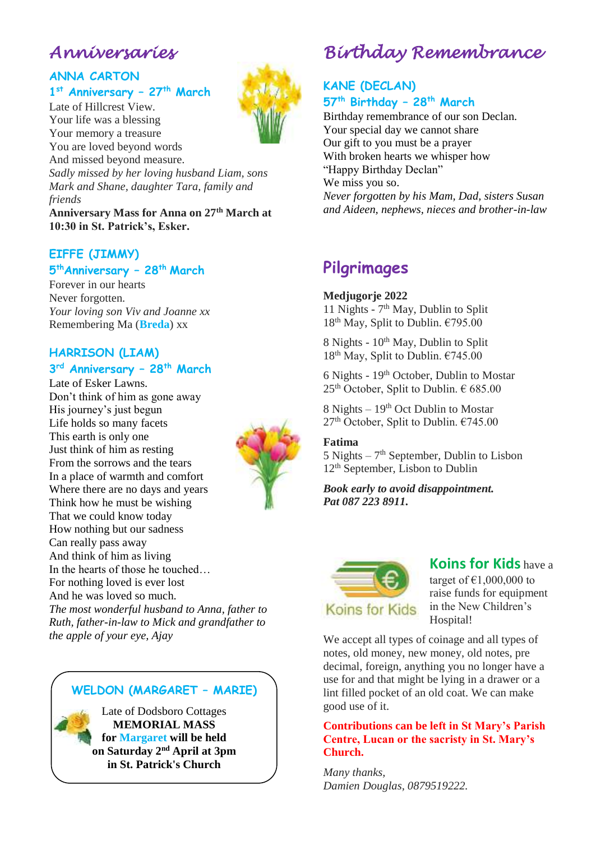## *Anniversaries*

### **ANNA CARTON 1 st Anniversary – 27th March**

Late of Hillcrest View. Your life was a blessing Your memory a treasure You are loved beyond words And missed beyond measure. *Sadly missed by her loving husband Liam, sons* 

*Mark and Shane, daughter Tara, family and friends*

**Anniversary Mass for Anna on 27th March at 10:30 in St. Patrick's, Esker.**

### **EIFFE (JIMMY) 5 thAnniversary – 28th March**

Forever in our hearts Never forgotten. *Your loving son Viv and Joanne xx* Remembering Ma (**Breda**) xx

### **HARRISON (LIAM) 3 rd Anniversary – 28th March**

Late of Esker Lawns. Don't think of him as gone away His journey's just begun Life holds so many facets This earth is only one Just think of him as resting From the sorrows and the tears In a place of warmth and comfort Where there are no days and years Think how he must be wishing That we could know today How nothing but our sadness Can really pass away And think of him as living In the hearts of those he touched… For nothing loved is ever lost And he was loved so much. *The most wonderful husband to Anna, father to Ruth, father-in-law to Mick and grandfather to the apple of your eye, Ajay*



## *Birthday Remembrance*

### **KANE (DECLAN) 57th Birthday – 28th March**

Birthday remembrance of our son Declan. Your special day we cannot share Our gift to you must be a prayer With broken hearts we whisper how "Happy Birthday Declan" We miss you so. *Never forgotten by his Mam, Dad, sisters Susan and Aideen, nephews, nieces and brother-in-law*

## **Pilgrimages**

#### **Medjugorje 2022**

11 Nights - 7<sup>th</sup> May, Dublin to Split  $18<sup>th</sup>$  May, Split to Dublin.  $€795.00$ 

8 Nights - 10<sup>th</sup> May, Dublin to Split  $18<sup>th</sup>$  May, Split to Dublin.  $€745.00$ 

6 Nights - 19<sup>th</sup> October, Dublin to Mostar  $25<sup>th</sup>$  October, Split to Dublin.  $\in$  685.00

8 Nights  $-19<sup>th</sup>$  Oct Dublin to Mostar 27<sup>th</sup> October, Split to Dublin. €745.00

#### **Fatima**

 $5$  Nights  $-7<sup>th</sup>$  September, Dublin to Lisbon 12<sup>th</sup> September, Lisbon to Dublin

*Book early to avoid disappointment. Pat 087 223 8911.*



### **Koins for Kids** have a

target of  $£1,000,000$  to raise funds for equipment in the New Children's Hospital!

We accept all types of coinage and all types of notes, old money, new money, old notes, pre decimal, foreign, anything you no longer have a use for and that might be lying in a drawer or a lint filled pocket of an old coat. We can make good use of it.

#### **Contributions can be left in St Mary's Parish Centre, Lucan or the sacristy in St. Mary's Church.**

*Many thanks, Damien Douglas, 0879519222.*

### **WELDON (MARGARET – MARIE)**

Late of Dodsboro Cottages **MEMORIAL MASS for Margaret will be held on Saturday 2nd April at 3pm in St. Patrick's Church**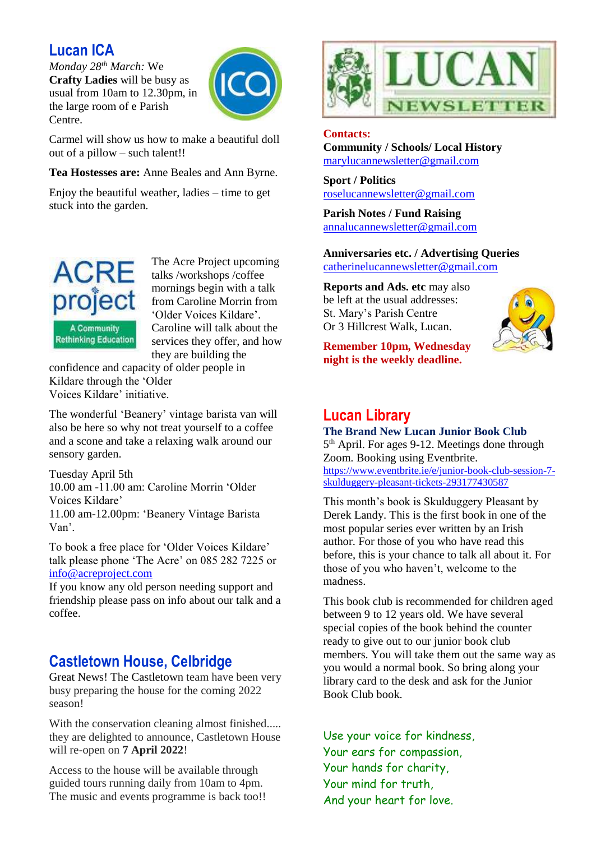### **Lucan ICA**

*Monday 28th March:* We **Crafty Ladies** will be busy as usual from 10am to 12.30pm, in the large room of e Parish Centre.



Carmel will show us how to make a beautiful doll out of a pillow – such talent!!

**Tea Hostesses are:** Anne Beales and Ann Byrne.

Enjoy the beautiful weather, ladies  $-$  time to get stuck into the garden.



The Acre Project upcoming talks /workshops /coffee mornings begin with a talk from Caroline Morrin from 'Older Voices Kildare'. Caroline will talk about the services they offer, and how they are building the

confidence and capacity of older people in Kildare through the 'Older Voices Kildare' initiative.

The wonderful 'Beanery' vintage barista van will also be here so why not treat yourself to a coffee and a scone and take a relaxing walk around our sensory garden.

Tuesday April 5th 10.00 am -11.00 am: Caroline Morrin 'Older Voices Kildare' 11.00 am-12.00pm: 'Beanery Vintage Barista Van'.

To book a free place for 'Older Voices Kildare' talk please phone 'The Acre' on 085 282 7225 or [info@acreproject.com](mailto:info@acreproject.com)

If you know any old person needing support and friendship please pass on info about our talk and a coffee.

### **Castletown House, Celbridge**

Great News! The Castletown team have been very busy preparing the house for the coming 2022 season!

With the conservation cleaning almost finished..... they are delighted to announce, Castletown House will re-open on **7 April 2022**!

Access to the house will be available through guided tours running daily from 10am to 4pm. The music and events programme is back too!!



**Contacts:** 

**Community / Schools/ Local History**  [marylucannewsletter@gmail.com](mailto:marylucannewsletter@gmail.com) 

**Sport / Politics** [roselucannewsletter@gmail.com](mailto:roselucannewsletter@gmail.com)

**Parish Notes / Fund Raising** [annalucannewsletter@gmail.com](mailto:annalucannewsletter@gmail.com)

**Anniversaries etc. / Advertising Queries**  [catherinelucannewsletter@gmail.com](mailto:catherinelucannewsletter@gmail.com)

**Reports and Ads. etc** may also be left at the usual addresses: St. Mary's Parish Centre Or 3 Hillcrest Walk, Lucan.

**Remember 10pm, Wednesday night is the weekly deadline.** 



## **Lucan Library**

**The Brand New Lucan Junior Book Club** 5<sup>th</sup> April. For ages 9-12. Meetings done through Zoom. Booking using Eventbrite. [https://www.eventbrite.ie/e/junior-book-club-session-7](https://www.eventbrite.ie/e/junior-book-club-session-7-skulduggery-pleasant-tickets-293177430587) [skulduggery-pleasant-tickets-293177430587](https://www.eventbrite.ie/e/junior-book-club-session-7-skulduggery-pleasant-tickets-293177430587)

This month's book is Skulduggery Pleasant by Derek Landy. This is the first book in one of the most popular series ever written by an Irish author. For those of you who have read this before, this is your chance to talk all about it. For those of you who haven't, welcome to the madness.

This book club is recommended for children aged between 9 to 12 years old. We have several special copies of the book behind the counter ready to give out to our junior book club members. You will take them out the same way as you would a normal book. So bring along your library card to the desk and ask for the Junior Book Club book.

Use your voice for kindness, Your ears for compassion, Your hands for charity, Your mind for truth, And your heart for love.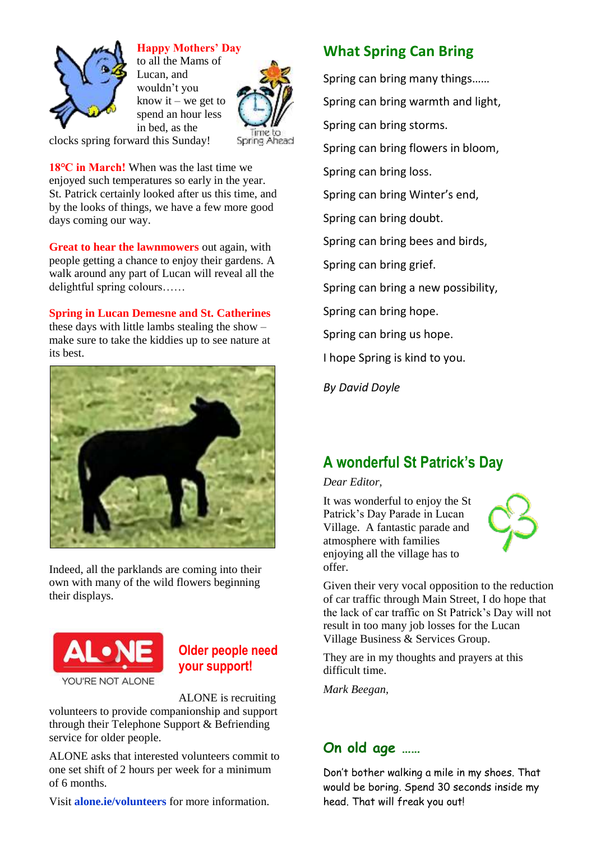

### **Happy Mothers' Day**

to all the Mams of Lucan, and wouldn't you know it – we get to spend an hour less in bed, as the



clocks spring forward this Sunday!

**18℃ in March!** When was the last time we enjoyed such temperatures so early in the year. St. Patrick certainly looked after us this time, and by the looks of things, we have a few more good days coming our way.

**Great to hear the lawnmowers** out again, with people getting a chance to enjoy their gardens. A walk around any part of Lucan will reveal all the delightful spring colours……

**Spring in Lucan Demesne and St. Catherines** these days with little lambs stealing the show – make sure to take the kiddies up to see nature at



Indeed, all the parklands are coming into their own with many of the wild flowers beginning their displays.



### **Older people need your support!**

ALONE is recruiting volunteers to provide companionship and support through their Telephone Support & Befriending service for older people.

ALONE asks that interested volunteers commit to one set shift of 2 hours per week for a minimum of 6 months.

Visit **alone.ie/volunteers** for more information.

### **What Spring Can Bring**

Spring can bring many things…… Spring can bring warmth and light, Spring can bring storms. Spring can bring flowers in bloom, Spring can bring loss. Spring can bring Winter's end, Spring can bring doubt. Spring can bring bees and birds, Spring can bring grief. Spring can bring a new possibility, Spring can bring hope. Spring can bring us hope. I hope Spring is kind to you.

*By David Doyle*

## **A wonderful St Patrick's Day**

#### *Dear Editor,*

It was wonderful to enjoy the St Patrick's Day Parade in Lucan Village. A fantastic parade and atmosphere with families enjoying all the village has to offer.



Given their very vocal opposition to the reduction of car traffic through Main Street, I do hope that the lack of car traffic on St Patrick's Day will not result in too many job losses for the Lucan Village Business & Services Group.

They are in my thoughts and prayers at this difficult time.

*Mark Beegan,*

### **On old age ……**

Don't bother walking a mile in my shoes. That would be boring. Spend 30 seconds inside my head. That will freak you out!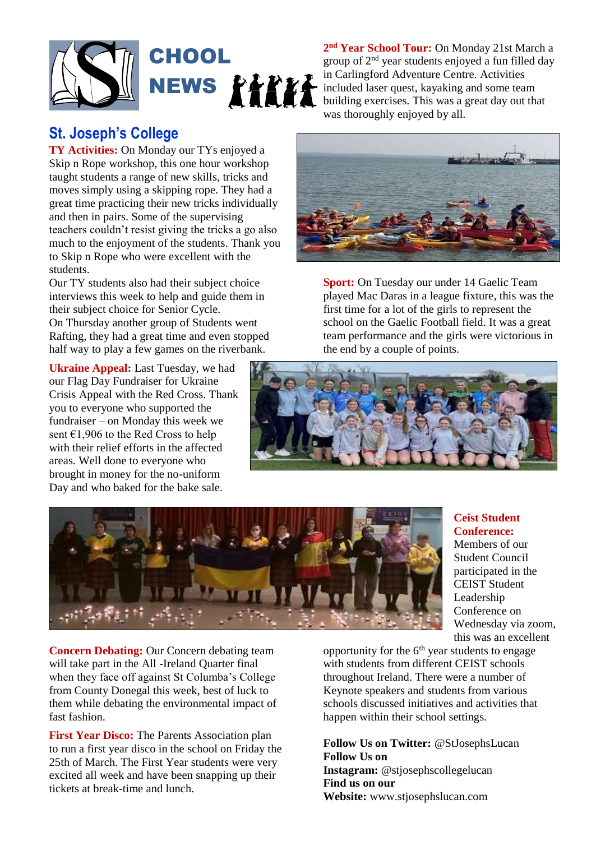

### **St. Joseph's College**

**TY Activities:** On Monday our TYs enjoyed a Skip n Rope workshop, this one hour workshop taught students a range of new skills, tricks and moves simply using a skipping rope. They had a great time practicing their new tricks individually and then in pairs. Some of the supervising teachers couldn't resist giving the tricks a go also much to the enjoyment of the students. Thank you to Skip n Rope who were excellent with the students.

Our TY students also had their subject choice interviews this week to help and guide them in their subject choice for Senior Cycle.

On Thursday another group of Students went Rafting, they had a great time and even stopped half way to play a few games on the riverbank.

**Ukraine Appeal:** Last Tuesday, we had our Flag Day Fundraiser for Ukraine Crisis Appeal with the Red Cross. Thank you to everyone who supported the fundraiser – on Monday this week we sent €1,906 to the Red Cross to help with their relief efforts in the affected areas. Well done to everyone who brought in money for the no-uniform Day and who baked for the bake sale.

**2 nd Year School Tour:** On Monday 21st March a group of 2nd year students enjoyed a fun filled day in Carlingford Adventure Centre. Activities included laser quest, kayaking and some team building exercises. This was a great day out that was thoroughly enjoyed by all.



**Sport:** On Tuesday our under 14 Gaelic Team played Mac Daras in a league fixture, this was the first time for a lot of the girls to represent the school on the Gaelic Football field. It was a great team performance and the girls were victorious in the end by a couple of points.

> **Ceist Student Conference:** Members of our Student Council participated in the CEIST Student Leadership Conference on Wednesday via zoom, this was an excellent





**Concern Debating:** Our Concern debating team will take part in the All -Ireland Quarter final when they face off against St Columba's College from County Donegal this week, best of luck to them while debating the environmental impact of fast fashion.

**First Year Disco:** The Parents Association plan to run a first year disco in the school on Friday the 25th of March. The First Year students were very excited all week and have been snapping up their tickets at break-time and lunch.

opportunity for the  $6<sup>th</sup>$  year students to engage with students from different CEIST schools throughout Ireland. There were a number of Keynote speakers and students from various schools discussed initiatives and activities that happen within their school settings.

**Follow Us on Twitter:** @StJosephsLucan **Follow Us on Instagram:** @stjosephscollegelucan **Find us on our Website:** www.stjosephslucan.com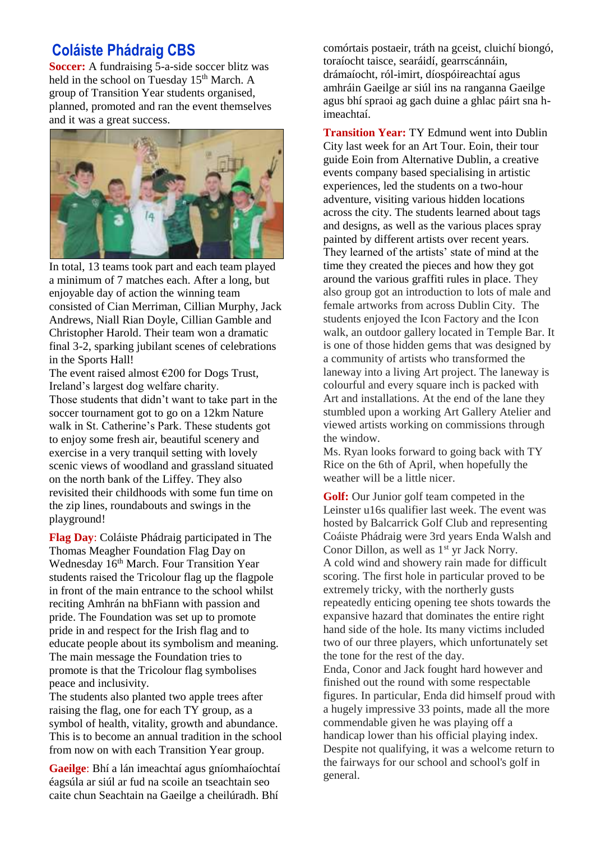### **Coláiste Phádraig CBS**

**Soccer:** A fundraising 5-a-side soccer blitz was held in the school on Tuesday 15<sup>th</sup> March. A group of Transition Year students organised, planned, promoted and ran the event themselves and it was a great success.



In total, 13 teams took part and each team played a minimum of 7 matches each. After a long, but enjoyable day of action the winning team consisted of Cian Merriman, Cillian Murphy, Jack Andrews, Niall Rian Doyle, Cillian Gamble and Christopher Harold. Their team won a dramatic final 3-2, sparking jubilant scenes of celebrations in the Sports Hall!

The event raised almost  $\epsilon$ 200 for Dogs Trust, Ireland's largest dog welfare charity. Those students that didn't want to take part in the soccer tournament got to go on a 12km Nature walk in St. Catherine's Park. These students got to enjoy some fresh air, beautiful scenery and exercise in a very tranquil setting with lovely scenic views of woodland and grassland situated on the north bank of the Liffey. They also revisited their childhoods with some fun time on the zip lines, roundabouts and swings in the playground!

**Flag Day**: Coláiste Phádraig participated in The Thomas Meagher Foundation Flag Day on Wednesday 16<sup>th</sup> March. Four Transition Year students raised the Tricolour flag up the flagpole in front of the main entrance to the school whilst reciting Amhrán na bhFiann with passion and pride. The Foundation was set up to promote pride in and respect for the Irish flag and to educate people about its symbolism and meaning. The main message the Foundation tries to promote is that the Tricolour flag symbolises peace and inclusivity.

The students also planted two apple trees after raising the flag, one for each TY group, as a symbol of health, vitality, growth and abundance. This is to become an annual tradition in the school from now on with each Transition Year group.

**Gaeilge**: Bhí a lán imeachtaí agus gníomhaíochtaí éagsúla ar siúl ar fud na scoile an tseachtain seo caite chun Seachtain na Gaeilge a cheilúradh. Bhí

comórtais postaeir, tráth na gceist, cluichí biongó, toraíocht taisce, searáidí, gearrscánnáin, drámaíocht, ról-imirt, díospóireachtaí agus amhráin Gaeilge ar siúl ins na ranganna Gaeilge agus bhí spraoi ag gach duine a ghlac páirt sna himeachtaí.

**Transition Year:** TY Edmund went into Dublin City last week for an Art Tour. Eoin, their tour guide Eoin from Alternative Dublin, a creative events company based specialising in artistic experiences, led the students on a two-hour adventure, visiting various hidden locations across the city. The students learned about tags and designs, as well as the various places spray painted by different artists over recent years. They learned of the artists' state of mind at the time they created the pieces and how they got around the various graffiti rules in place. They also group got an introduction to lots of male and female artworks from across Dublin City. The students enjoyed the Icon Factory and the Icon walk, an outdoor gallery located in Temple Bar. It is one of those hidden gems that was designed by a community of artists who transformed the laneway into a living Art project. The laneway is colourful and every square inch is packed with Art and installations. At the end of the lane they stumbled upon a working Art Gallery Atelier and viewed artists working on commissions through the window.

Ms. Ryan looks forward to going back with TY Rice on the 6th of April, when hopefully the weather will be a little nicer.

**Golf:** Our Junior golf team competed in the Leinster u16s qualifier last week. The event was hosted by Balcarrick Golf Club and representing Coáiste Phádraig were 3rd years Enda Walsh and Conor Dillon, as well as 1<sup>st</sup> yr Jack Norry. A cold wind and showery rain made for difficult scoring. The first hole in particular proved to be extremely tricky, with the northerly gusts repeatedly enticing opening tee shots towards the expansive hazard that dominates the entire right hand side of the hole. Its many victims included two of our three players, which unfortunately set the tone for the rest of the day.

Enda, Conor and Jack fought hard however and finished out the round with some respectable figures. In particular, Enda did himself proud with a hugely impressive 33 points, made all the more commendable given he was playing off a handicap lower than his official playing index. Despite not qualifying, it was a welcome return to the fairways for our school and school's golf in general.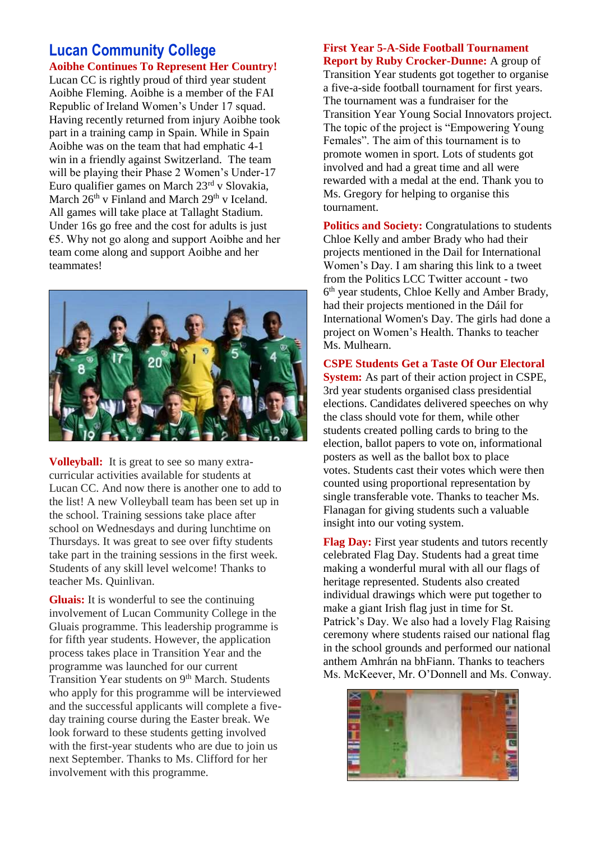### **Lucan Community College Aoibhe Continues To Represent Her Country!**

Lucan CC is rightly proud of third year student Aoibhe Fleming. Aoibhe is a member of the FAI Republic of Ireland Women's Under 17 squad. Having recently returned from injury Aoibhe took part in a training camp in Spain. While in Spain Aoibhe was on the team that had emphatic 4-1 win in a friendly against Switzerland. The team will be playing their Phase 2 Women's Under-17 Euro qualifier games on March 23rd v Slovakia, March  $26<sup>th</sup>$  v Finland and March  $29<sup>th</sup>$  v Iceland. All games will take place at Tallaght Stadium. Under 16s go free and the cost for adults is just €5. Why not go along and support Aoibhe and her team come along and support Aoibhe and her teammates!



**Volleyball:** It is great to see so many extracurricular activities available for students at Lucan CC. And now there is another one to add to the list! A new Volleyball team has been set up in the school. Training sessions take place after school on Wednesdays and during lunchtime on Thursdays. It was great to see over fifty students take part in the training sessions in the first week. Students of any skill level welcome! Thanks to teacher Ms. Quinlivan.

**Gluais:** It is wonderful to see the continuing involvement of Lucan Community College in the Gluais programme. This leadership programme is for fifth year students. However, the application process takes place in Transition Year and the programme was launched for our current Transition Year students on 9<sup>th</sup> March. Students who apply for this programme will be interviewed and the successful applicants will complete a fiveday training course during the Easter break. We look forward to these students getting involved with the first-year students who are due to join us next September. Thanks to Ms. Clifford for her involvement with this programme.

## **First Year 5-A-Side Football Tournament**

**Report by Ruby Crocker-Dunne:** A group of Transition Year students got together to organise a five-a-side football tournament for first years. The tournament was a fundraiser for the Transition Year Young Social Innovators project. The topic of the project is "Empowering Young Females". The aim of this tournament is to promote women in sport. Lots of students got involved and had a great time and all were rewarded with a medal at the end. Thank you to Ms. Gregory for helping to organise this tournament.

**Politics and Society:** Congratulations to students Chloe Kelly and amber Brady who had their projects mentioned in the Dail for International Women's Day. I am sharing this link to a tweet from the Politics LCC Twitter account - two 6 th year students, Chloe Kelly and Amber Brady, had their projects mentioned in the Dáil for International Women's Day. The girls had done a project on Women's Health. Thanks to teacher Ms. Mulhearn.

**CSPE Students Get a Taste Of Our Electoral System:** As part of their action project in CSPE, 3rd year students organised class presidential elections. Candidates delivered speeches on why the class should vote for them, while other students created polling cards to bring to the election, ballot papers to vote on, informational posters as well as the ballot box to place votes. Students cast their votes which were then counted using proportional representation by single transferable vote. Thanks to teacher Ms. Flanagan for giving students such a valuable insight into our voting system.

**Flag Day:** First year students and tutors recently celebrated Flag Day. Students had a great time making a wonderful mural with all our flags of heritage represented. Students also created individual drawings which were put together to make a giant Irish flag just in time for St. Patrick's Day. We also had a lovely Flag Raising ceremony where students raised our national flag in the school grounds and performed our national anthem Amhrán na bhFiann. Thanks to teachers Ms. McKeever, Mr. O'Donnell and Ms. Conway.

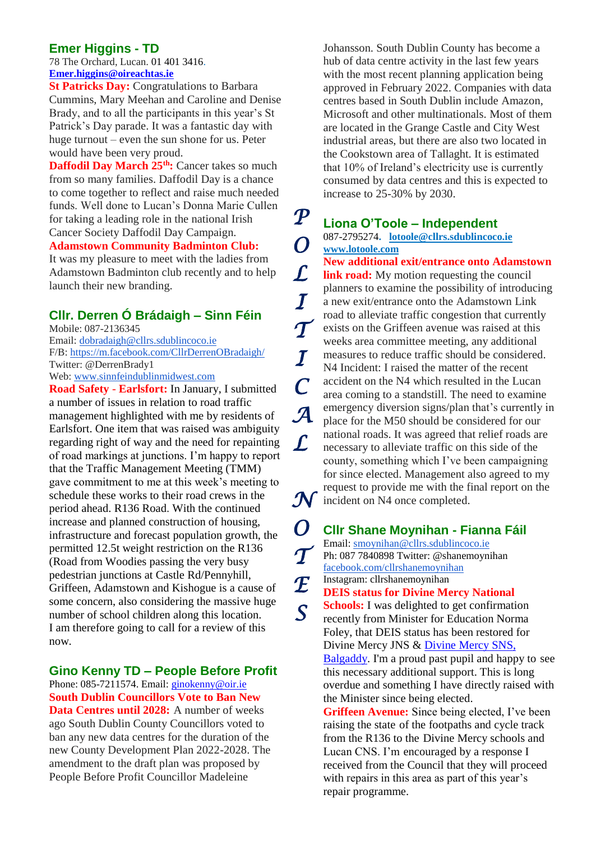### **Emer Higgins - TD**

78 The Orchard, Lucan. [01 401 3416.](tel:014013416) **[Emer.higgins@oireachtas.ie](mailto:Emer.higgins@oireachtas.ie)**

**St Patricks Day:** Congratulations to Barbara Cummins, Mary Meehan and Caroline and Denise Brady, and to all the participants in this year's St Patrick's Day parade. It was a fantastic day with huge turnout – even the sun shone for us. Peter would have been very proud.

**Daffodil Day March 25th:** Cancer takes so much from so many families. Daffodil Day is a chance to come together to reflect and raise much needed funds. Well done to Lucan's Donna Marie Cullen for taking a leading role in the national Irish Cancer Society Daffodil Day Campaign.

#### **Adamstown Community Badminton Club:**

It was my pleasure to meet with the ladies from Adamstown Badminton club recently and to help launch their new branding.

### **Cllr. Derren Ó Brádaigh – Sinn Féin**

Mobile: 087-2136345 Email: [dobradaigh@cllrs.sdublincoco.ie](mailto:dobradaigh@cllrs.sdublincoco.ie) F/B: <https://m.facebook.com/CllrDerrenOBradaigh/> Twitter: @DerrenBrady1 Web: [www.sinnfeindublinmidwest.com](http://www.sinnfeindublinmidwest.com/)

**Road Safety** - **Earlsfort:** In January, I submitted a number of issues in relation to road traffic management highlighted with me by residents of Earlsfort. One item that was raised was ambiguity regarding right of way and the need for repainting of road markings at junctions. I'm happy to report that the Traffic Management Meeting (TMM) gave commitment to me at this week's meeting to schedule these works to their road crews in the period ahead. R136 Road. With the continued increase and planned construction of housing, infrastructure and forecast population growth, the permitted 12.5t weight restriction on the R136 (Road from Woodies passing the very busy pedestrian junctions at Castle Rd/Pennyhill, Griffeen, Adamstown and Kishogue is a cause of some concern, also considering the massive huge number of school children along this location. I am therefore going to call for a review of this now.

#### **Gino Kenny TD – People Before Profit**

Phone: 085-7211574. Email[: ginokenny@oir.ie](mailto:ginokenny@oir.ie) **South Dublin Councillors Vote to Ban New Data Centres until 2028:** A number of weeks ago South Dublin County Councillors voted to ban any new data centres for the duration of the new County Development Plan 2022-2028. The amendment to the draft plan was proposed by People Before Profit Councillor Madeleine

Johansson. South Dublin County has become a hub of data centre activity in the last few years with the most recent planning application being approved in February 2022. Companies with data centres based in South Dublin include Amazon, Microsoft and other multinationals. Most of them are located in the Grange Castle and City West industrial areas, but there are also two located in the Cookstown area of Tallaght. It is estimated that 10% of Ireland's electricity use is currently consumed by data centres and this is expected to increase to 25-30% by 2030.

### **Liona O'Toole – Independent**

*P* 

*O* 

*L* 

*I* 

*T* 

*I* 

*C* 

*L* 

*S* 

087-2795274**. [lotoole@cllrs.sdublincoco.ie](mailto:lotoole@cllrs.sdublincoco.ie) [www.lotoole.com](http://www.lotoole.com/)**

**New additional exit/entrance onto Adamstown link road:** My motion requesting the council planners to examine the possibility of introducing a new exit/entrance onto the Adamstown Link road to alleviate traffic congestion that currently exists on the Griffeen avenue was raised at this weeks area committee meeting, any additional measures to reduce traffic should be considered. N4 Incident: I raised the matter of the recent accident on the N4 which resulted in the Lucan area coming to a standstill. The need to examine emergency diversion signs/plan that's currently in place for the M50 should be considered for our national roads. It was agreed that relief roads are necessary to alleviate traffic on this side of the county, something which I've been campaigning for since elected. Management also agreed to my request to provide me with the final report on the incident on N4 once completed. *A N* 

**Cllr Shane Moynihan - Fianna Fáil**  Email: [smoynihan@cllrs.sdublincoco.ie](mailto:smoynihan@cllrs.sdublincoco.ie) Ph: 087 7840898 Twitter: @shanemoynihan [facebook.com/cllrshanemoynihan](http://facebook.com/cllrshanemoynihan) Instagram: cllrshanemoynihan **DEIS status for Divine Mercy National Schools:** I was delighted to get confirmation recently from Minister for Education Norma Foley, that DEIS status has been restored for [Divine](https://www.facebook.com/dmbalgaddysns?__cft__%5b0%5d=AZWtxQlDAhy83jiPCw5YkqeRlWCSFSdrDCjZPXseeBjJgQ1up6vbCjIZ33IvMzQGb7QDzSpqduaLrW1WyusKTLW5pp0awdOy1pH_7CajE7CJ9p7ByIo18uHaiQqK322WE2jkcZ-JzMslni5FpGMTUoWw&__tn__=-%5dK-R) Mercy JNS & Divine Mercy SNS, [Balgaddy.](https://www.facebook.com/dmbalgaddysns?__cft__%5b0%5d=AZWtxQlDAhy83jiPCw5YkqeRlWCSFSdrDCjZPXseeBjJgQ1up6vbCjIZ33IvMzQGb7QDzSpqduaLrW1WyusKTLW5pp0awdOy1pH_7CajE7CJ9p7ByIo18uHaiQqK322WE2jkcZ-JzMslni5FpGMTUoWw&__tn__=-%5dK-R) I'm a proud past pupil and happy to see this necessary additional support. This is long overdue and something I have directly raised with the Minister since being elected. **Griffeen Avenue:** Since being elected, I've been raising the state of the footpaths and cycle track from the R136 to the Divine Mercy schools and Lucan CNS. I'm encouraged by a response I received from the Council that they will proceed *O T E* 

with repairs in this area as part of this year's

repair programme.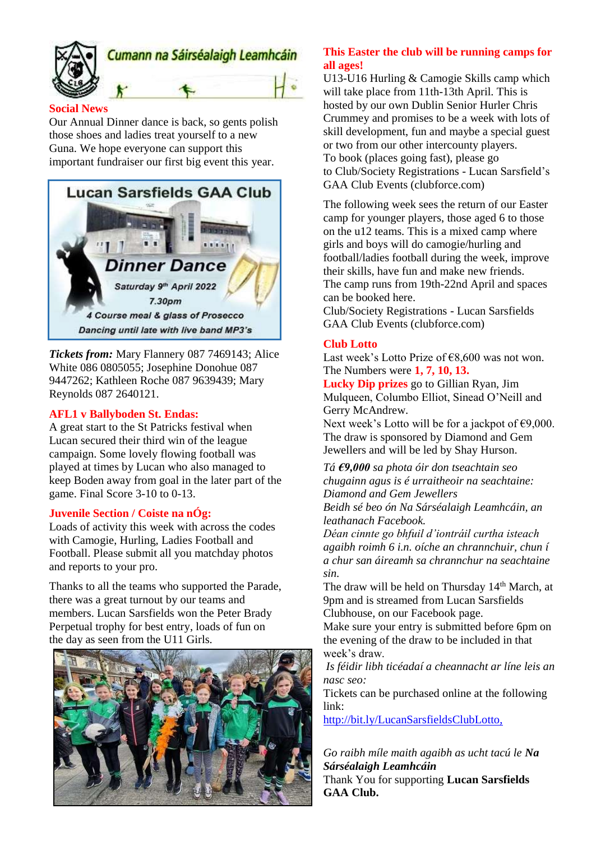

#### **Social News**

Our Annual Dinner dance is back, so gents polish those shoes and ladies treat yourself to a new Guna. We hope everyone can support this important fundraiser our first big event this year.



*Tickets from:* Mary Flannery 087 7469143; Alice White 086 0805055; Josephine Donohue 087 9447262; Kathleen Roche 087 9639439; Mary Reynolds 087 2640121.

#### **AFL1 v Ballyboden St. Endas:**

A great start to the St Patricks festival when Lucan secured their third win of the league campaign. Some lovely flowing football was played at times by Lucan who also managed to keep Boden away from goal in the later part of the game. Final Score 3-10 to 0-13.

#### **Juvenile Section / Coiste na nÓg:**

Loads of activity this week with across the codes with Camogie, Hurling, Ladies Football and Football. Please submit all you matchday photos and reports to your pro.

Thanks to all the teams who supported the Parade, there was a great turnout by our teams and members. Lucan Sarsfields won the Peter Brady Perpetual trophy for best entry, loads of fun on the day as seen from the U11 Girls.



#### **This Easter the club will be running camps for all ages!**

U13-U16 Hurling & Camogie Skills camp which will take place from 11th-13th April. This is hosted by our own Dublin Senior Hurler Chris Crummey and promises to be a week with lots of skill development, fun and maybe a special guest or two from our other intercounty players. To book (places going fast), please go to [Club/Society Registrations -](https://member.clubforce.com/memberships_cart_m.asp?LL_ID=480&intMF_ID=10093#Anchor) Lucan Sarsfield's [GAA Club Events \(clubforce.com\)](https://member.clubforce.com/memberships_cart_m.asp?LL_ID=480&intMF_ID=10093#Anchor)

The following week sees the return of our Easter camp for younger players, those aged 6 to those on the u12 teams. This is a mixed camp where girls and boys will do camogie/hurling and football/ladies football during the week, improve their skills, have fun and make new friends. The camp runs from 19th-22nd April and spaces can be booked here.

[Club/Society Registrations -](https://member.clubforce.com/memberships_cart_m.asp?LL_ID=480&intMF_ID=10087#Anchor) Lucan Sarsfields [GAA Club Events \(clubforce.com\)](https://member.clubforce.com/memberships_cart_m.asp?LL_ID=480&intMF_ID=10087#Anchor)

#### **Club Lotto**

Last week's Lotto Prize of  $E$ 8,600 was not won. The Numbers were **1, 7, 10, 13.**

**Lucky Dip prizes** go to Gillian Ryan, Jim Mulqueen, Columbo Elliot, Sinead O'Neill and Gerry McAndrew.

Next week's Lotto will be for a jackpot of  $\epsilon$ 9,000. The draw is sponsored by Diamond and Gem Jewellers and will be led by Shay Hurson.

*Tá €9,000 sa phota óir don tseachtain seo chugainn agus is é urraitheoir na seachtaine: Diamond and Gem Jewellers*

*Beidh sé beo ón Na Sárséalaigh Leamhcáin, an leathanach Facebook.*

*Déan cinnte go bhfuil d'iontráil curtha isteach agaibh roimh 6 i.n. oíche an chrannchuir, chun í a chur san áireamh sa chrannchur na seachtaine sin.*

The draw will be held on Thursday 14<sup>th</sup> March, at 9pm and is streamed from Lucan Sarsfields Clubhouse, on our Facebook page.

Make sure your entry is submitted before 6pm on the evening of the draw to be included in that week's draw.

*Is féidir libh ticéadaí a cheannacht ar líne leis an nasc seo:*

Tickets can be purchased online at the following link:

<http://bit.ly/LucanSarsfieldsClubLotto,>

*Go raibh míle maith agaibh as ucht tacú le Na Sárséalaigh Leamhcáin*

Thank You for supporting **Lucan Sarsfields GAA Club.**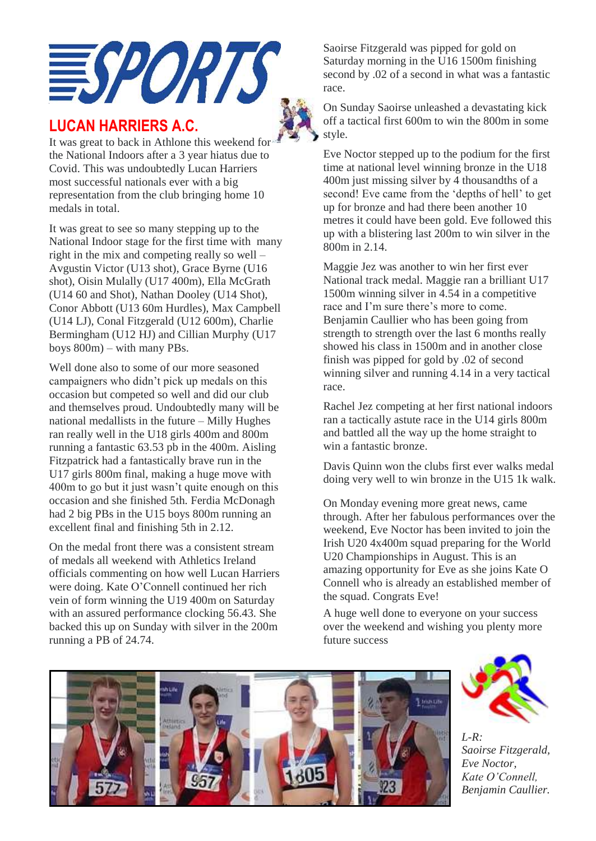

### **LUCAN HARRIERS A.C.**



It was great to back in Athlone this weekend for the National Indoors after a 3 year hiatus due to Covid. This was undoubtedly Lucan Harriers most successful nationals ever with a big representation from the club bringing home 10 medals in total.

It was great to see so many stepping up to the National Indoor stage for the first time with many right in the mix and competing really so well – Avgustin Victor (U13 shot), Grace Byrne (U16 shot), Oisin Mulally (U17 400m), Ella McGrath (U14 60 and Shot), Nathan Dooley (U14 Shot), Conor Abbott (U13 60m Hurdles), Max Campbell (U14 LJ), Conal Fitzgerald (U12 600m), Charlie Bermingham (U12 HJ) and Cillian Murphy (U17 boys 800m) – with many PBs.

Well done also to some of our more seasoned campaigners who didn't pick up medals on this occasion but competed so well and did our club and themselves proud. Undoubtedly many will be national medallists in the future – Milly Hughes ran really well in the U18 girls 400m and 800m running a fantastic 63.53 pb in the 400m. Aisling Fitzpatrick had a fantastically brave run in the U17 girls 800m final, making a huge move with 400m to go but it just wasn't quite enough on this occasion and she finished 5th. Ferdia McDonagh had 2 big PBs in the U15 boys 800m running an excellent final and finishing 5th in 2.12.

On the medal front there was a consistent stream of medals all weekend with Athletics Ireland officials commenting on how well Lucan Harriers were doing. Kate O'Connell continued her rich vein of form winning the U19 400m on Saturday with an assured performance clocking 56.43. She backed this up on Sunday with silver in the 200m running a PB of 24.74.

Saoirse Fitzgerald was pipped for gold on Saturday morning in the U16 1500m finishing second by .02 of a second in what was a fantastic race.

On Sunday Saoirse unleashed a devastating kick off a tactical first 600m to win the 800m in some style.

Eve Noctor stepped up to the podium for the first time at national level winning bronze in the U18 400m just missing silver by 4 thousandths of a second! Eve came from the 'depths of hell' to get up for bronze and had there been another 10 metres it could have been gold. Eve followed this up with a blistering last 200m to win silver in the 800m in 2.14.

Maggie Jez was another to win her first ever National track medal. Maggie ran a brilliant U17 1500m winning silver in 4.54 in a competitive race and I'm sure there's more to come. Benjamin Caullier who has been going from strength to strength over the last 6 months really showed his class in 1500m and in another close finish was pipped for gold by .02 of second winning silver and running 4.14 in a very tactical race.

Rachel Jez competing at her first national indoors ran a tactically astute race in the U14 girls 800m and battled all the way up the home straight to win a fantastic bronze.

Davis Quinn won the clubs first ever walks medal doing very well to win bronze in the U15 1k walk.

On Monday evening more great news, came through. After her fabulous performances over the weekend, Eve Noctor has been invited to join the Irish U20 4x400m squad preparing for the World U20 Championships in August. This is an amazing opportunity for Eve as she joins Kate O Connell who is already an established member of the squad. Congrats Eve!

A huge well done to everyone on your success over the weekend and wishing you plenty more future success





*L-R: Saoirse Fitzgerald, Eve Noctor, Kate O'Connell, Benjamin Caullier.*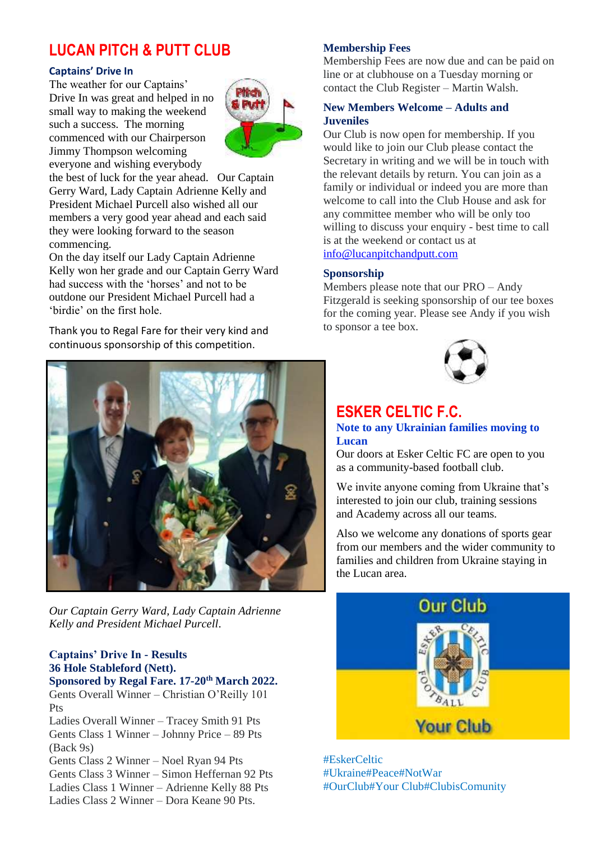## **LUCAN PITCH & PUTT CLUB**

#### **Captains' Drive In**

The weather for our Captains' Drive In was great and helped in no small way to making the weekend such a success. The morning commenced with our Chairperson Jimmy Thompson welcoming everyone and wishing everybody



the best of luck for the year ahead. Our Captain Gerry Ward, Lady Captain Adrienne Kelly and President Michael Purcell also wished all our members a very good year ahead and each said they were looking forward to the season commencing.

On the day itself our Lady Captain Adrienne Kelly won her grade and our Captain Gerry Ward had success with the 'horses' and not to be outdone our President Michael Purcell had a 'birdie' on the first hole.

Thank you to Regal Fare for their very kind and continuous sponsorship of this competition.

*Our Captain Gerry Ward, Lady Captain Adrienne Kelly and President Michael Purcell*.

### **Captains' Drive In - Results 36 Hole Stableford (Nett).**

**Sponsored by Regal Fare. 17-20th March 2022.** Gents Overall Winner – Christian O'Reilly 101 Pts

Ladies Overall Winner – Tracey Smith 91 Pts Gents Class 1 Winner – Johnny Price – 89 Pts (Back 9s)

Gents Class 2 Winner – Noel Ryan 94 Pts Gents Class 3 Winner – Simon Heffernan 92 Pts Ladies Class 1 Winner – Adrienne Kelly 88 Pts Ladies Class 2 Winner – Dora Keane 90 Pts.

#### **Membership Fees**

Membership Fees are now due and can be paid on line or at clubhouse on a Tuesday morning or contact the Club Register – Martin Walsh.

#### **New Members Welcome – Adults and Juveniles**

Our Club is now open for membership. If you would like to join our Club please contact the Secretary in writing and we will be in touch with the relevant details by return. You can join as a family or individual or indeed you are more than welcome to call into the Club House and ask for any committee member who will be only too willing to discuss your enquiry - best time to call is at the weekend or contact us at [info@lucanpitchandputt.com](mailto:info@lucanpitchandputt.com)

#### **Sponsorship**

Members please note that our PRO – Andy Fitzgerald is seeking sponsorship of our tee boxes for the coming year. Please see Andy if you wish to sponsor a tee box.



### **ESKER CELTIC F.C.**

#### **Note to any Ukrainian families moving to Lucan**

Our doors at Esker Celtic FC are open to you as a community-based football club.

We invite anyone coming from Ukraine that's interested to join our club, training sessions and Academy across all our teams.

Also we welcome any donations of sports gear from our members and the wider community to families and children from Ukraine staying in the Lucan area.



#EskerCeltic #Ukraine#Peace#NotWar #OurClub#Your Club#ClubisComunity